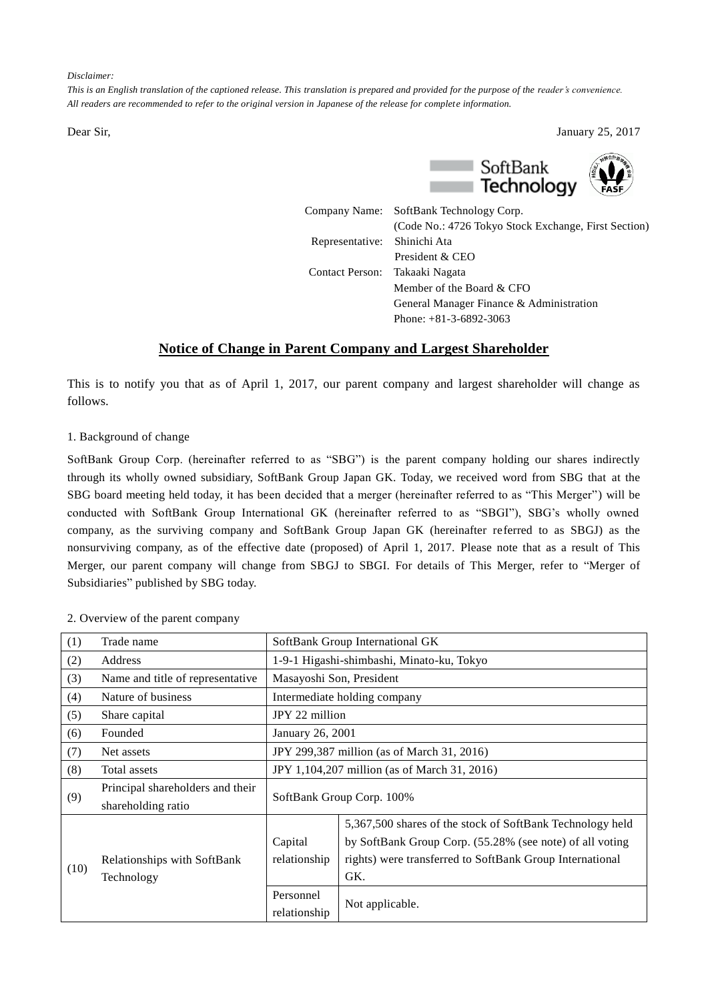*Disclaimer:*

*This is an English translation of the captioned release. This translation is prepared and provided for the purpose of the reader's convenience. All readers are recommended to refer to the original version in Japanese of the release for complete information.*

Dear Sir, January 25, 2017



|                                | Company Name: SoftBank Technology Corp.              |
|--------------------------------|------------------------------------------------------|
|                                | (Code No.: 4726 Tokyo Stock Exchange, First Section) |
| Representative: Shinichi Ata   |                                                      |
|                                | President & CEO                                      |
| Contact Person: Takaaki Nagata |                                                      |
|                                | Member of the Board $&$ CFO                          |
|                                | General Manager Finance & Administration             |
|                                | Phone: $+81-3-6892-3063$                             |

# **Notice of Change in Parent Company and Largest Shareholder**

This is to notify you that as of April 1, 2017, our parent company and largest shareholder will change as follows.

#### 1. Background of change

SoftBank Group Corp. (hereinafter referred to as "SBG") is the parent company holding our shares indirectly through its wholly owned subsidiary, SoftBank Group Japan GK. Today, we received word from SBG that at the SBG board meeting held today, it has been decided that a merger (hereinafter referred to as "This Merger") will be conducted with SoftBank Group International GK (hereinafter referred to as "SBGI"), SBG's wholly owned company, as the surviving company and SoftBank Group Japan GK (hereinafter referred to as SBGJ) as the nonsurviving company, as of the effective date (proposed) of April 1, 2017. Please note that as a result of This Merger, our parent company will change from SBGJ to SBGI. For details of This Merger, refer to "Merger of Subsidiaries" published by SBG today.

| (1)  | Trade name                       | SoftBank Group International GK              |                                                           |  |  |
|------|----------------------------------|----------------------------------------------|-----------------------------------------------------------|--|--|
| (2)  | Address                          |                                              | 1-9-1 Higashi-shimbashi, Minato-ku, Tokyo                 |  |  |
| (3)  | Name and title of representative | Masayoshi Son, President                     |                                                           |  |  |
| (4)  | Nature of business               | Intermediate holding company                 |                                                           |  |  |
| (5)  | Share capital                    | JPY 22 million                               |                                                           |  |  |
| (6)  | Founded                          | January 26, 2001                             |                                                           |  |  |
| (7)  | Net assets                       | JPY 299,387 million (as of March 31, 2016)   |                                                           |  |  |
| (8)  | Total assets                     | JPY 1,104,207 million (as of March 31, 2016) |                                                           |  |  |
| (9)  | Principal shareholders and their |                                              |                                                           |  |  |
|      | shareholding ratio               |                                              | SoftBank Group Corp. 100%                                 |  |  |
| (10) |                                  |                                              | 5,367,500 shares of the stock of SoftBank Technology held |  |  |
|      |                                  | Capital<br>relationship                      | by SoftBank Group Corp. (55.28% (see note) of all voting  |  |  |
|      | Relationships with SoftBank      |                                              | rights) were transferred to SoftBank Group International  |  |  |
|      | Technology                       |                                              | GK.                                                       |  |  |
|      |                                  | Personnel                                    | Not applicable.                                           |  |  |
|      |                                  | relationship                                 |                                                           |  |  |

### 2. Overview of the parent company